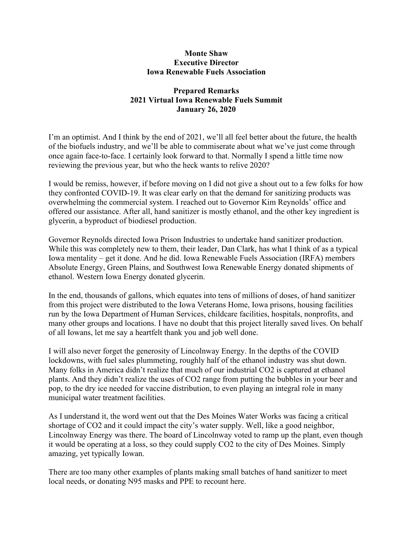## **Monte Shaw Executive Director Iowa Renewable Fuels Association**

## **Prepared Remarks 2021 Virtual Iowa Renewable Fuels Summit January 26, 2020**

I'm an optimist. And I think by the end of 2021, we'll all feel better about the future, the health of the biofuels industry, and we'll be able to commiserate about what we've just come through once again face-to-face. I certainly look forward to that. Normally I spend a little time now reviewing the previous year, but who the heck wants to relive 2020?

I would be remiss, however, if before moving on I did not give a shout out to a few folks for how they confronted COVID-19. It was clear early on that the demand for sanitizing products was overwhelming the commercial system. I reached out to Governor Kim Reynolds' office and offered our assistance. After all, hand sanitizer is mostly ethanol, and the other key ingredient is glycerin, a byproduct of biodiesel production.

Governor Reynolds directed Iowa Prison Industries to undertake hand sanitizer production. While this was completely new to them, their leader, Dan Clark, has what I think of as a typical Iowa mentality – get it done. And he did. Iowa Renewable Fuels Association (IRFA) members Absolute Energy, Green Plains, and Southwest Iowa Renewable Energy donated shipments of ethanol. Western Iowa Energy donated glycerin.

In the end, thousands of gallons, which equates into tens of millions of doses, of hand sanitizer from this project were distributed to the Iowa Veterans Home, Iowa prisons, housing facilities run by the Iowa Department of Human Services, childcare facilities, hospitals, nonprofits, and many other groups and locations. I have no doubt that this project literally saved lives. On behalf of all Iowans, let me say a heartfelt thank you and job well done.

I will also never forget the generosity of Lincolnway Energy. In the depths of the COVID lockdowns, with fuel sales plummeting, roughly half of the ethanol industry was shut down. Many folks in America didn't realize that much of our industrial CO2 is captured at ethanol plants. And they didn't realize the uses of CO2 range from putting the bubbles in your beer and pop, to the dry ice needed for vaccine distribution, to even playing an integral role in many municipal water treatment facilities.

As I understand it, the word went out that the Des Moines Water Works was facing a critical shortage of CO2 and it could impact the city's water supply. Well, like a good neighbor, Lincolnway Energy was there. The board of Lincolnway voted to ramp up the plant, even though it would be operating at a loss, so they could supply CO2 to the city of Des Moines. Simply amazing, yet typically Iowan.

There are too many other examples of plants making small batches of hand sanitizer to meet local needs, or donating N95 masks and PPE to recount here.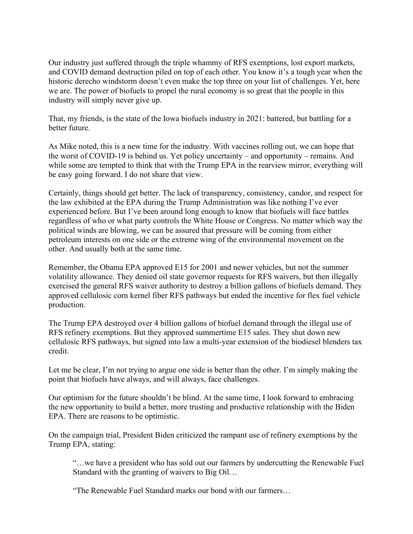Our industry just suffered through the triple whammy of RFS exemptions, lost export markets, and COVID demand destruction piled on top of each other. You know it's a tough year when the historic derecho windstorm doesn't even make the top three on your list of challenges. Yet, here we are. The power of biofuels to propel the rural economy is so great that the people in this industry will simply never give up.

That, my friends, is the state of the Iowa biofuels industry in 2021: battered, but battling for a better future.

As Mike noted, this is a new time for the industry. With vaccines rolling out, we can hope that the worst of COVID-19 is behind us. Yet policy uncertainty – and opportunity – remains. And while some are tempted to think that with the Trump EPA in the rearview mirror, everything will be easy going forward. I do not share that view.

Certainly, things should get better. The lack of transparency, consistency, candor, and respect for the law exhibited at the EPA during the Trump Administration was like nothing I've ever experienced before. But I've been around long enough to know that biofuels will face battles regardless of who or what party controls the White House or Congress. No matter which way the political winds are blowing, we can be assured that pressure will be coming from either petroleum interests on one side or the extreme wing of the environmental movement on the other. And usually both at the same time.

Remember, the Obama EPA approved E15 for 2001 and newer vehicles, but not the summer volatility allowance. They denied oil state governor requests for RFS waivers, but then illegally exercised the general RFS waiver authority to destroy a billion gallons of biofuels demand. They approved cellulosic corn kernel fiber RFS pathways but ended the incentive for flex fuel vehicle production.

The Trump EPA destroyed over 4 billion gallons of biofuel demand through the illegal use of RFS refinery exemptions. But they approved summertime E15 sales. They shut down new cellulosic RFS pathways, but signed into law a multi-year extension of the biodiesel blenders tax credit.

Let me be clear, I'm not trying to argue one side is better than the other. I'm simply making the point that biofuels have always, and will always, face challenges.

Our optimism for the future shouldn't be blind. At the same time, I look forward to embracing the new opportunity to build a better, more trusting and productive relationship with the Biden EPA. There are reasons to be optimistic.

On the campaign trial, President Biden criticized the rampant use of refinery exemptions by the Trump EPA, stating:

"…we have a president who has sold out our farmers by undercutting the Renewable Fuel Standard with the granting of waivers to Big Oil…

"The Renewable Fuel Standard marks our bond with our farmers…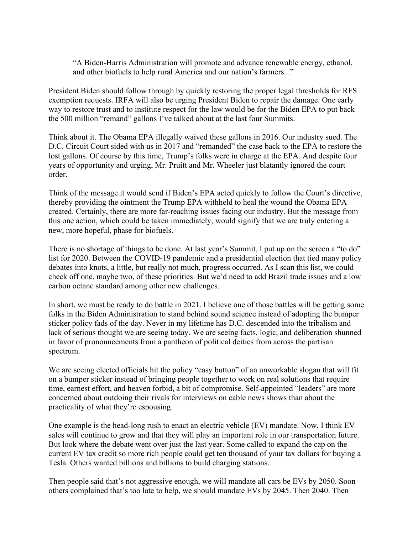"A Biden-Harris Administration will promote and advance renewable energy, ethanol, and other biofuels to help rural America and our nation's farmers..."

President Biden should follow through by quickly restoring the proper legal thresholds for RFS exemption requests. IRFA will also be urging President Biden to repair the damage. One early way to restore trust and to institute respect for the law would be for the Biden EPA to put back the 500 million "remand" gallons I've talked about at the last four Summits.

Think about it. The Obama EPA illegally waived these gallons in 2016. Our industry sued. The D.C. Circuit Court sided with us in 2017 and "remanded" the case back to the EPA to restore the lost gallons. Of course by this time, Trump's folks were in charge at the EPA. And despite four years of opportunity and urging, Mr. Pruitt and Mr. Wheeler just blatantly ignored the court order.

Think of the message it would send if Biden's EPA acted quickly to follow the Court's directive, thereby providing the ointment the Trump EPA withheld to heal the wound the Obama EPA created. Certainly, there are more far-reaching issues facing our industry. But the message from this one action, which could be taken immediately, would signify that we are truly entering a new, more hopeful, phase for biofuels.

There is no shortage of things to be done. At last year's Summit, I put up on the screen a "to do" list for 2020. Between the COVID-19 pandemic and a presidential election that tied many policy debates into knots, a little, but really not much, progress occurred. As I scan this list, we could check off one, maybe two, of these priorities. But we'd need to add Brazil trade issues and a low carbon octane standard among other new challenges.

In short, we must be ready to do battle in 2021. I believe one of those battles will be getting some folks in the Biden Administration to stand behind sound science instead of adopting the bumper sticker policy fads of the day. Never in my lifetime has D.C. descended into the tribalism and lack of serious thought we are seeing today. We are seeing facts, logic, and deliberation shunned in favor of pronouncements from a pantheon of political deities from across the partisan spectrum.

We are seeing elected officials hit the policy "easy button" of an unworkable slogan that will fit on a bumper sticker instead of bringing people together to work on real solutions that require time, earnest effort, and heaven forbid, a bit of compromise. Self-appointed "leaders" are more concerned about outdoing their rivals for interviews on cable news shows than about the practicality of what they're espousing.

One example is the head-long rush to enact an electric vehicle (EV) mandate. Now, I think EV sales will continue to grow and that they will play an important role in our transportation future. But look where the debate went over just the last year. Some called to expand the cap on the current EV tax credit so more rich people could get ten thousand of your tax dollars for buying a Tesla. Others wanted billions and billions to build charging stations.

Then people said that's not aggressive enough, we will mandate all cars be EVs by 2050. Soon others complained that's too late to help, we should mandate EVs by 2045. Then 2040. Then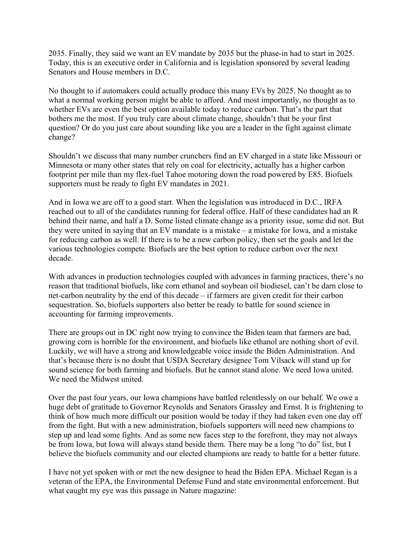2035. Finally, they said we want an EV mandate by 2035 but the phase-in had to start in 2025. Today, this is an executive order in California and is legislation sponsored by several leading Senators and House members in D.C.

No thought to if automakers could actually produce this many EVs by 2025. No thought as to what a normal working person might be able to afford. And most importantly, no thought as to whether EVs are even the best option available today to reduce carbon. That's the part that bothers me the most. If you truly care about climate change, shouldn't that be your first question? Or do you just care about sounding like you are a leader in the fight against climate change?

Shouldn't we discuss that many number crunchers find an EV charged in a state like Missouri or Minnesota or many other states that rely on coal for electricity, actually has a higher carbon footprint per mile than my flex-fuel Tahoe motoring down the road powered by E85. Biofuels supporters must be ready to fight EV mandates in 2021.

And in Iowa we are off to a good start. When the legislation was introduced in D.C., IRFA reached out to all of the candidates running for federal office. Half of these candidates had an R behind their name, and half a D. Some listed climate change as a priority issue, some did not. But they were united in saying that an EV mandate is a mistake – a mistake for Iowa, and a mistake for reducing carbon as well. If there is to be a new carbon policy, then set the goals and let the various technologies compete. Biofuels are the best option to reduce carbon over the next decade.

With advances in production technologies coupled with advances in farming practices, there's no reason that traditional biofuels, like corn ethanol and soybean oil biodiesel, can't be darn close to net-carbon neutrality by the end of this decade – if farmers are given credit for their carbon sequestration. So, biofuels supporters also better be ready to battle for sound science in accounting for farming improvements.

There are groups out in DC right now trying to convince the Biden team that farmers are bad, growing corn is horrible for the environment, and biofuels like ethanol are nothing short of evil. Luckily, we will have a strong and knowledgeable voice inside the Biden Administration. And that's because there is no doubt that USDA Secretary designee Tom Vilsack will stand up for sound science for both farming and biofuels. But he cannot stand alone. We need Iowa united. We need the Midwest united.

Over the past four years, our Iowa champions have battled relentlessly on our behalf. We owe a huge debt of gratitude to Governor Reynolds and Senators Grassley and Ernst. It is frightening to think of how much more difficult our position would be today if they had taken even one day off from the fight. But with a new administration, biofuels supporters will need new champions to step up and lead some fights. And as some new faces step to the forefront, they may not always be from Iowa, but Iowa will always stand beside them. There may be a long "to do" list, but I believe the biofuels community and our elected champions are ready to battle for a better future.

I have not yet spoken with or met the new designee to head the Biden EPA. Michael Regan is a veteran of the EPA, the Environmental Defense Fund and state environmental enforcement. But what caught my eye was this passage in Nature magazine: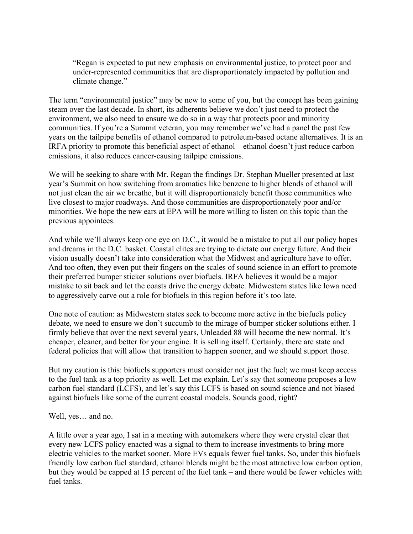"Regan is expected to put new emphasis on environmental justice, to protect poor and under-represented communities that are disproportionately impacted by pollution and climate change."

The term "environmental justice" may be new to some of you, but the concept has been gaining steam over the last decade. In short, its adherents believe we don't just need to protect the environment, we also need to ensure we do so in a way that protects poor and minority communities. If you're a Summit veteran, you may remember we've had a panel the past few years on the tailpipe benefits of ethanol compared to petroleum-based octane alternatives. It is an IRFA priority to promote this beneficial aspect of ethanol – ethanol doesn't just reduce carbon emissions, it also reduces cancer-causing tailpipe emissions.

We will be seeking to share with Mr. Regan the findings Dr. Stephan Mueller presented at last year's Summit on how switching from aromatics like benzene to higher blends of ethanol will not just clean the air we breathe, but it will disproportionately benefit those communities who live closest to major roadways. And those communities are disproportionately poor and/or minorities. We hope the new ears at EPA will be more willing to listen on this topic than the previous appointees.

And while we'll always keep one eye on D.C., it would be a mistake to put all our policy hopes and dreams in the D.C. basket. Coastal elites are trying to dictate our energy future. And their vision usually doesn't take into consideration what the Midwest and agriculture have to offer. And too often, they even put their fingers on the scales of sound science in an effort to promote their preferred bumper sticker solutions over biofuels. IRFA believes it would be a major mistake to sit back and let the coasts drive the energy debate. Midwestern states like Iowa need to aggressively carve out a role for biofuels in this region before it's too late.

One note of caution: as Midwestern states seek to become more active in the biofuels policy debate, we need to ensure we don't succumb to the mirage of bumper sticker solutions either. I firmly believe that over the next several years, Unleaded 88 will become the new normal. It's cheaper, cleaner, and better for your engine. It is selling itself. Certainly, there are state and federal policies that will allow that transition to happen sooner, and we should support those.

But my caution is this: biofuels supporters must consider not just the fuel; we must keep access to the fuel tank as a top priority as well. Let me explain. Let's say that someone proposes a low carbon fuel standard (LCFS), and let's say this LCFS is based on sound science and not biased against biofuels like some of the current coastal models. Sounds good, right?

Well, yes… and no.

A little over a year ago, I sat in a meeting with automakers where they were crystal clear that every new LCFS policy enacted was a signal to them to increase investments to bring more electric vehicles to the market sooner. More EVs equals fewer fuel tanks. So, under this biofuels friendly low carbon fuel standard, ethanol blends might be the most attractive low carbon option, but they would be capped at 15 percent of the fuel tank – and there would be fewer vehicles with fuel tanks.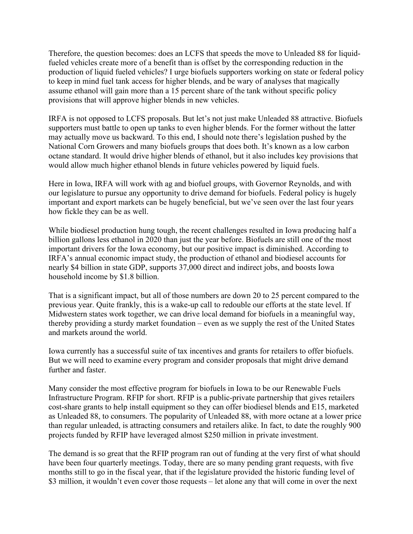Therefore, the question becomes: does an LCFS that speeds the move to Unleaded 88 for liquidfueled vehicles create more of a benefit than is offset by the corresponding reduction in the production of liquid fueled vehicles? I urge biofuels supporters working on state or federal policy to keep in mind fuel tank access for higher blends, and be wary of analyses that magically assume ethanol will gain more than a 15 percent share of the tank without specific policy provisions that will approve higher blends in new vehicles.

IRFA is not opposed to LCFS proposals. But let's not just make Unleaded 88 attractive. Biofuels supporters must battle to open up tanks to even higher blends. For the former without the latter may actually move us backward. To this end, I should note there's legislation pushed by the National Corn Growers and many biofuels groups that does both. It's known as a low carbon octane standard. It would drive higher blends of ethanol, but it also includes key provisions that would allow much higher ethanol blends in future vehicles powered by liquid fuels.

Here in Iowa, IRFA will work with ag and biofuel groups, with Governor Reynolds, and with our legislature to pursue any opportunity to drive demand for biofuels. Federal policy is hugely important and export markets can be hugely beneficial, but we've seen over the last four years how fickle they can be as well.

While biodiesel production hung tough, the recent challenges resulted in Iowa producing half a billion gallons less ethanol in 2020 than just the year before. Biofuels are still one of the most important drivers for the Iowa economy, but our positive impact is diminished. According to IRFA's annual economic impact study, the production of ethanol and biodiesel accounts for nearly \$4 billion in state GDP, supports 37,000 direct and indirect jobs, and boosts Iowa household income by \$1.8 billion.

That is a significant impact, but all of those numbers are down 20 to 25 percent compared to the previous year. Quite frankly, this is a wake-up call to redouble our efforts at the state level. If Midwestern states work together, we can drive local demand for biofuels in a meaningful way, thereby providing a sturdy market foundation – even as we supply the rest of the United States and markets around the world.

Iowa currently has a successful suite of tax incentives and grants for retailers to offer biofuels. But we will need to examine every program and consider proposals that might drive demand further and faster.

Many consider the most effective program for biofuels in Iowa to be our Renewable Fuels Infrastructure Program. RFIP for short. RFIP is a public-private partnership that gives retailers cost-share grants to help install equipment so they can offer biodiesel blends and E15, marketed as Unleaded 88, to consumers. The popularity of Unleaded 88, with more octane at a lower price than regular unleaded, is attracting consumers and retailers alike. In fact, to date the roughly 900 projects funded by RFIP have leveraged almost \$250 million in private investment.

The demand is so great that the RFIP program ran out of funding at the very first of what should have been four quarterly meetings. Today, there are so many pending grant requests, with five months still to go in the fiscal year, that if the legislature provided the historic funding level of \$3 million, it wouldn't even cover those requests – let alone any that will come in over the next